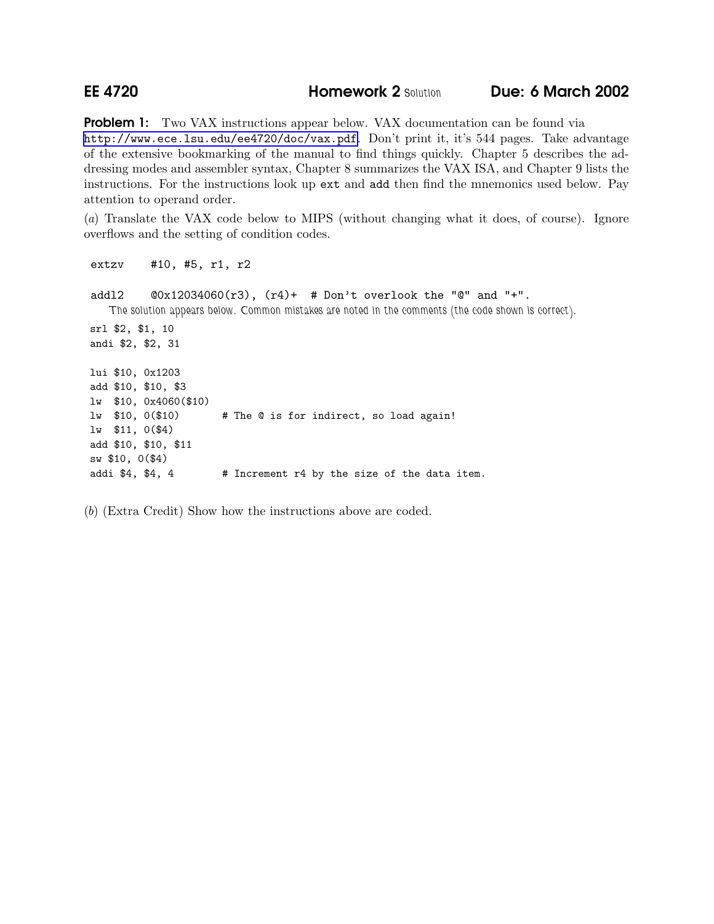## **EE 4720 Homework 2 Solution Due: 6 March 2002**

**Problem 1:** Two VAX instructions appear below. VAX documentation can be found via <http://www.ece.lsu.edu/ee4720/doc/vax.pdf>. Don't print it, it's 544 pages. Take advantage of the extensive bookmarking of the manual to find things quickly. Chapter 5 describes the addressing modes and assembler syntax, Chapter 8 summarizes the VAX ISA, and Chapter 9 lists the instructions. For the instructions look up ext and add then find the mnemonics used below. Pay attention to operand order.

(a) Translate the VAX code below to MIPS (without changing what it does, of course). Ignore overflows and the setting of condition codes.

extzv #10, #5, r1, r2

addl2  $@0x12034060(r3)$ ,  $(r4)+$  # Don't overlook the "@" and "+". The solution appears below. Common mistakes are noted in the comments (the code shown is correct). srl \$2, \$1, 10 andi \$2, \$2, 31 lui \$10, 0x1203 add \$10, \$10, \$3 lw \$10, 0x4060(\$10) lw \$10, 0(\$10) # The @ is for indirect, so load again! lw \$11, 0(\$4) add \$10, \$10, \$11 sw \$10, 0(\$4) addi \$4, \$4, 4 # Increment r4 by the size of the data item.

(b) (Extra Credit) Show how the instructions above are coded.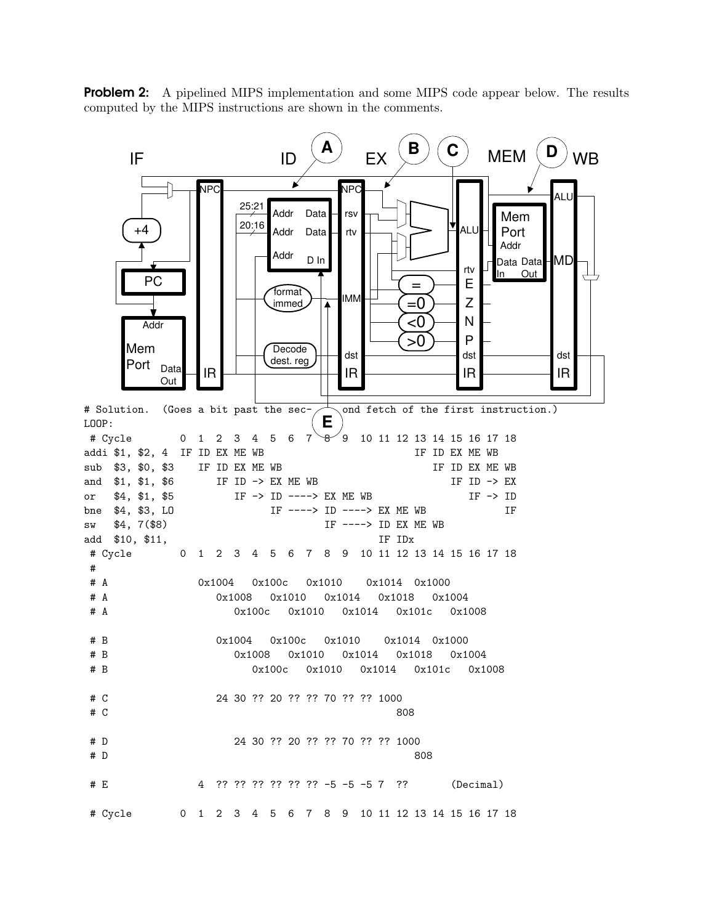**Problem 2:** A pipelined MIPS implementation and some MIPS code appear below. The results computed by the MIPS instructions are shown in the comments.

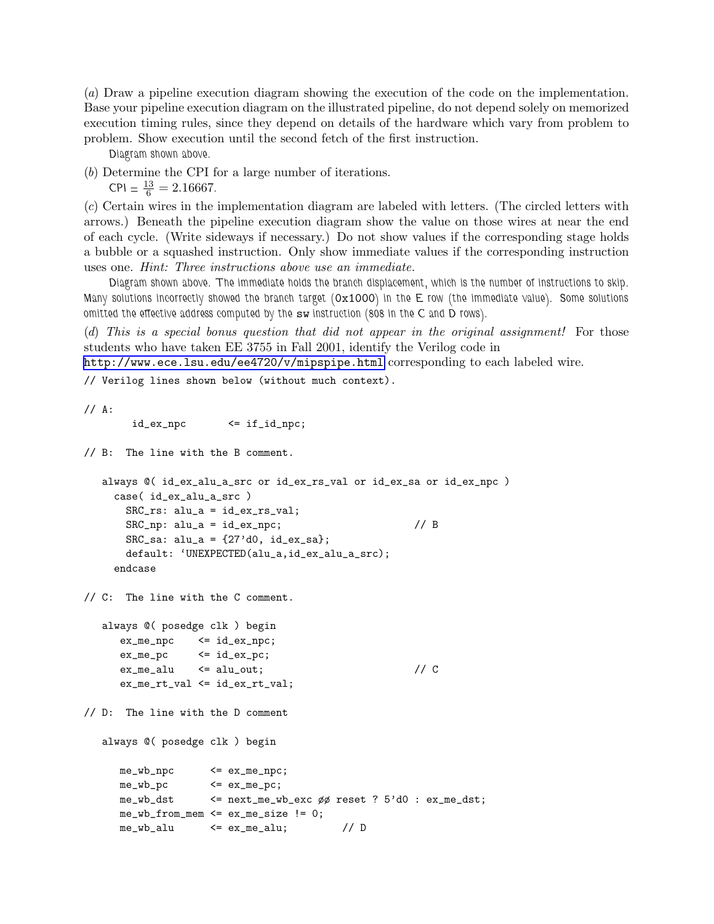(a) Draw a pipeline execution diagram showing the execution of the code on the implementation. Base your pipeline execution diagram on the illustrated pipeline, do not depend solely on memorized execution timing rules, since they depend on details of the hardware which vary from problem to problem. Show execution until the second fetch of the first instruction.

Diagram shown above.

(b) Determine the CPI for a large number of iterations.

 $CPI = \frac{13}{6} = 2.16667.$ 

(c) Certain wires in the implementation diagram are labeled with letters. (The circled letters with arrows.) Beneath the pipeline execution diagram show the value on those wires at near the end of each cycle. (Write sideways if necessary.) Do not show values if the corresponding stage holds a bubble or a squashed instruction. Only show immediate values if the corresponding instruction uses one. Hint: Three instructions above use an immediate.

Diagram shown above. The immediate holds the branch displacement, which is the number of instructions to skip. Many solutions incorrectly showed the branch target  $(0x1000)$  in the E row (the immediate value). Some solutions omitted the effective address computed by the sw instruction (808 in the C and D rows).

(d) This is a special bonus question that did not appear in the original assignment! For those students who have taken EE 3755 in Fall 2001, identify the Verilog code in

<http://www.ece.lsu.edu/ee4720/v/mipspipe.html> corresponding to each labeled wire.

// Verilog lines shown below (without much context).

// A:

```
id_ex_npc <= if_id_npc;
```
// B: The line with the B comment.

always @( id\_ex\_alu\_a\_src or id\_ex\_rs\_val or id\_ex\_sa or id\_ex\_npc ) case( id\_ex\_alu\_a\_src ) SRC\_rs: alu\_a = id\_ex\_rs\_val; SRC\_np:  $alu_a = id_ex_npc$ ; // B  $SRC\_sa: alu_a = {27'd0, id_ex\_sa};$ default: 'UNEXPECTED(alu\_a,id\_ex\_alu\_a\_src); endcase

// C: The line with the C comment.

```
always @( posedge clk ) begin
  ex_m = npc \leq id_ex_mpc;
  ex\_me\_pc \leq id\_ex\_pc;
  ex\_me\_alu \leq alu\_out; // C
  ex_me_rt_val <= id_ex_rt_val;
```
// D: The line with the D comment

```
always @( posedge clk ) begin
```

```
me_wb_npc <= ex_me_npc;
me_wb_pc \leq ex_me_pc;
me_wb_dst <= next_me_wb_exc øø reset ? 5'd0 : ex_me_dst;
me_wb_from_mean \leq ex_me_size != 0;
me_wb_alu \leq ex_me_alu; // D
```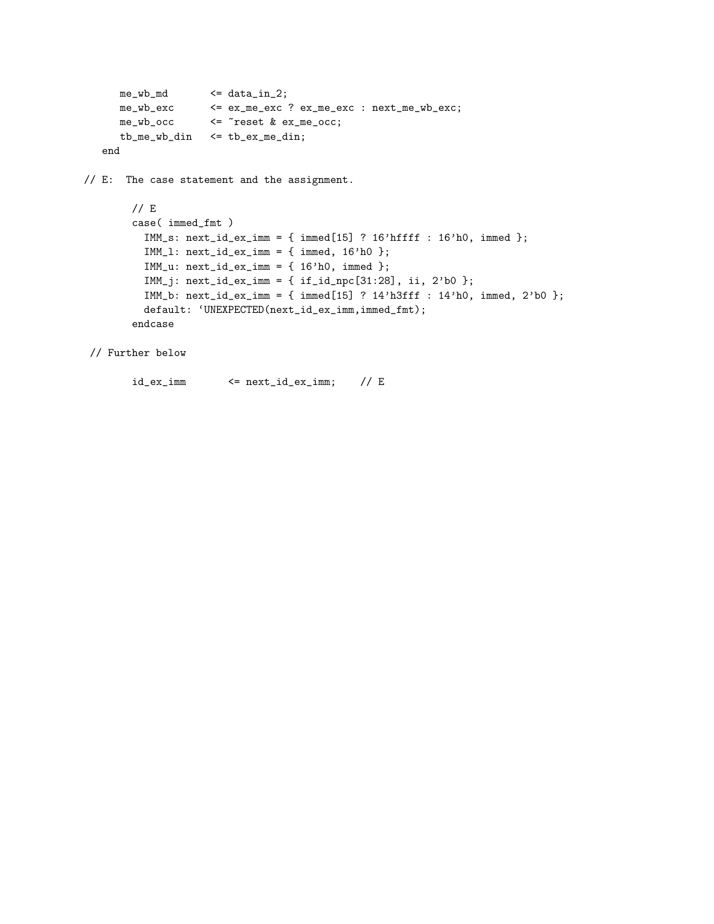```
me_wb_md <= data_in_2;
  me_wb_exc <= ex_me_exc ? ex_me_exc : next_me_wb_exc;
  me_wb_occ <= ~reset & ex_me_occ;
  tb_me_wb_din <= tb_ex_me_din;
end
```
// E: The case statement and the assignment.

```
// E
case( immed_fmt )
  IMM_s: next_id_ex\_imm = {immed[15] ? 16'hffff : 16'h0, immed};IMM_l: next_id_ex_imm = { immed, 16'h0 };
  IMM_u: next_id_ex\_imm = { 16'h0, immed };
  IMM_j: next_id_ex_imm = { if_id_npc[31:28], ii, 2'b0 };
  IMM_b: next_id_ex_imm = { immed[15] ? 14'h3fff : 14'h0, immed, 2'b0 };
  default: 'UNEXPECTED(next_id_ex_imm,immed_fmt);
endcase
```

```
// Further below
```
 $id_ex\_imm$   $\leq$  next\_id\_ex\_imm; // E